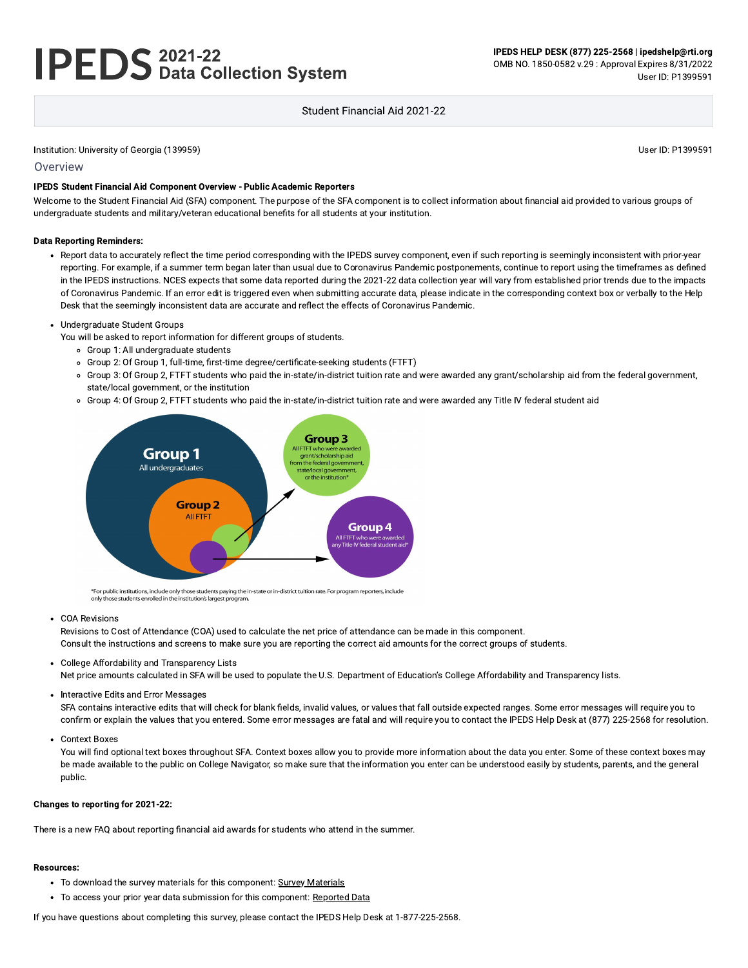# **IPEDS** 2021-22<br>**IPEDS** Data Collection System

User ID: P1399591

#### Student Financial Aid 2021-22

#### Institution: University of Georgia (139959)

Overview

#### IPEDS Student Financial Aid Component Overview - Public Academic Reporters

Welcome to the Student Financial Aid (SFA) component. The purpose of the SFA component is to collect information about financial aid provided to various groups of undergraduate students and military/veteran educational benefits for all students at your institution.

#### **Data Reporting Reminders:**

- Report data to accurately reflect the time period corresponding with the IPEDS survey component, even if such reporting is seemingly inconsistent with prior-year reporting. For example, if a summer term began later than usual due to Coronavirus Pandemic postponements, continue to report using the timeframes as defined in the IPEDS instructions. NCES expects that some data reported during the 2021-22 data collection year will vary from established prior trends due to the impacts of Coronavirus Pandemic. If an error edit is triggered even when submitting accurate data, please indicate in the corresponding context box or verbally to the Help Desk that the seemingly inconsistent data are accurate and reflect the effects of Coronavirus Pandemic.
- Undergraduate Student Groups
	- You will be asked to report information for different groups of students.
		- Group 1: All undergraduate students
		- o Group 2: Of Group 1, full-time, first-time degree/certificate-seeking students (FTFT)
		- o Group 3: Of Group 2, FTFT students who paid the in-state/in-district tuition rate and were awarded any grant/scholarship aid from the federal government, state/local government, or the institution
		- o Group 4: Of Group 2, FTFT students who paid the in-state/in-district tuition rate and were awarded any Title IV federal student aid



\*For public institutions, include only those students paying the in-state or in-district tuition rate. For program reporters, include only those students enrolled in the institution's largest program.

• COA Revisions

Revisions to Cost of Attendance (COA) used to calculate the net price of attendance can be made in this component. Consult the instructions and screens to make sure you are reporting the correct aid amounts for the correct groups of students.

• College Affordability and Transparency Lists

Net price amounts calculated in SFA will be used to populate the U.S. Department of Education's College Affordability and Transparency lists.

• Interactive Edits and Error Messages

SFA contains interactive edits that will check for blank fields, invalid values, or values that fall outside expected ranges. Some error messages will require you to confirm or explain the values that you entered. Some error messages are fatal and will require you to contact the IPEDS Help Desk at (877) 225-2568 for resolution.

Context Boxes

You will find optional text boxes throughout SFA. Context boxes allow you to provide more information about the data you enter. Some of these context boxes may be made available to the public on College Navigator, so make sure that the information you enter can be understood easily by students, parents, and the general public.

#### Changes to reporting for 2021-22:

There is a new FAQ about reporting financial aid awards for students who attend in the summer.

#### **Resources:**

- To download the survey materials for this component: Survey Materials
- To access your prior year data submission for this component: Reported Data

If you have questions about completing this survey, please contact the IPEDS Help Desk at 1-877-225-2568.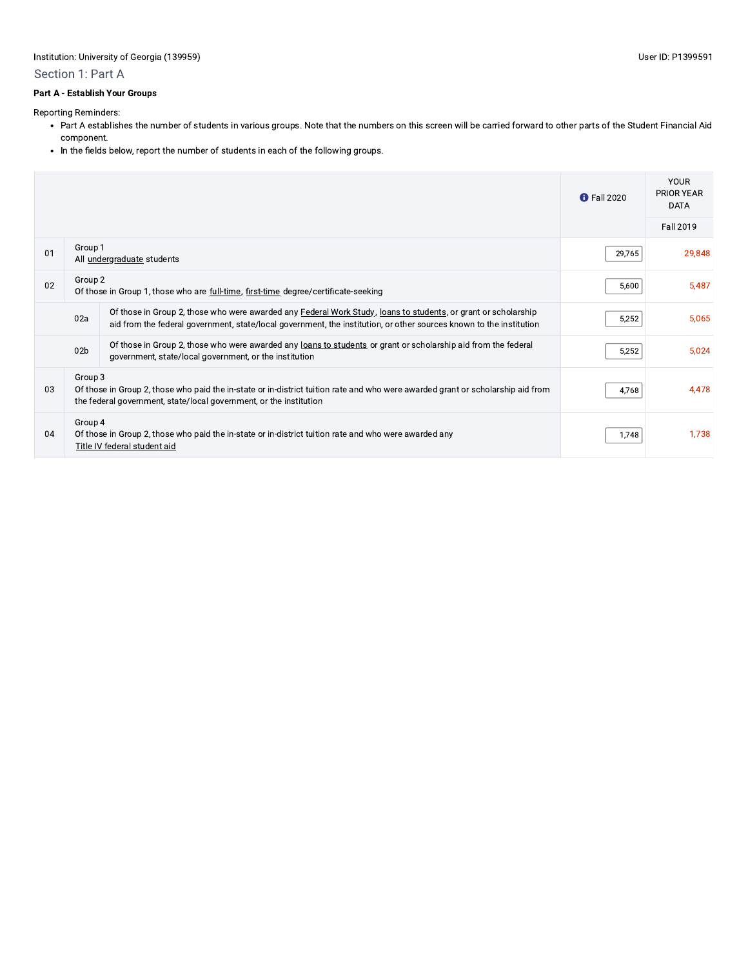#### Section 1: Part A

#### Part A - Establish Your Groups

Reporting Reminders:

- Part A establishes the number of students in various groups. Note that the numbers on this screen will be carried forward to other parts of the Student Financial Aid component.
- In the fields below, report the number of students in each of the following groups.

|    |                 |                                                                                                                                                                                                                                       | <b>f</b> Fall 2020 | <b>YOUR</b><br><b>PRIOR YEAR</b><br><b>DATA</b> |
|----|-----------------|---------------------------------------------------------------------------------------------------------------------------------------------------------------------------------------------------------------------------------------|--------------------|-------------------------------------------------|
|    |                 |                                                                                                                                                                                                                                       |                    | Fall 2019                                       |
| 01 | Group 1         | All undergraduate students                                                                                                                                                                                                            | 29,765             | 29,848                                          |
| 02 | Group 2         | Of those in Group 1, those who are full-time, first-time degree/certificate-seeking                                                                                                                                                   | 5,600              | 5,487                                           |
|    | 02a             | Of those in Group 2, those who were awarded any Federal Work Study, loans to students, or grant or scholarship<br>aid from the federal government, state/local government, the institution, or other sources known to the institution | 5,252              | 5,065                                           |
|    | 02 <sub>b</sub> | Of those in Group 2, those who were awarded any loans to students or grant or scholarship aid from the federal<br>government, state/local government, or the institution                                                              | 5,252              | 5,024                                           |
| 03 | Group 3         | Of those in Group 2, those who paid the in-state or in-district tuition rate and who were awarded grant or scholarship aid from<br>the federal government, state/local government, or the institution                                 | 4,768              | 4,478                                           |
| 04 | Group 4         | Of those in Group 2, those who paid the in-state or in-district tuition rate and who were awarded any<br>Title IV federal student aid                                                                                                 | 1,748              | 1,738                                           |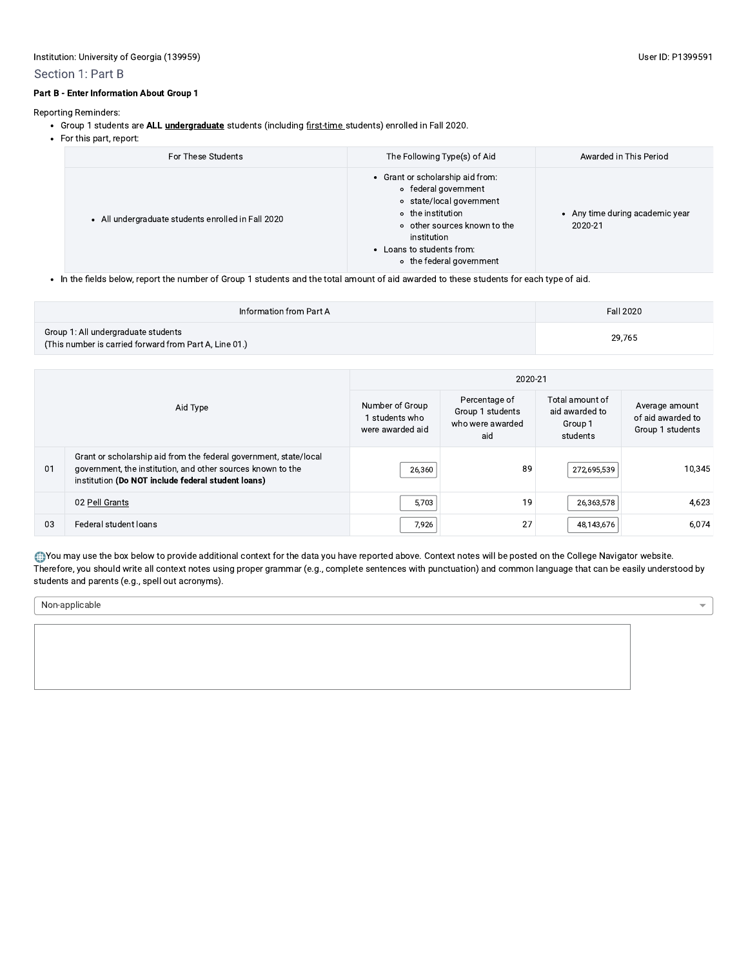#### Section 1: Part B

Reporting Reminders:

- Group 1 students are ALL *undergraduate* students (including first-time students) enrolled in Fall 2020.
- For this part, report:

| For These Students                               | The Following Type(s) of Aid                                                                                                                                                                                      | Awarded in This Period                     |
|--------------------------------------------------|-------------------------------------------------------------------------------------------------------------------------------------------------------------------------------------------------------------------|--------------------------------------------|
| All undergraduate students enrolled in Fall 2020 | • Grant or scholarship aid from:<br>• federal government<br>o state/local government<br>o the institution<br>o other sources known to the<br>institution<br>• Loans to students from:<br>• the federal government | • Any time during academic year<br>2020-21 |
|                                                  |                                                                                                                                                                                                                   |                                            |

• In the fields below, report the number of Group 1 students and the total amount of aid awarded to these students for each type of aid.

| Information from Part A                                                                       | Fall 2020 |
|-----------------------------------------------------------------------------------------------|-----------|
| Group 1: All undergraduate students<br>(This number is carried forward from Part A, Line 01.) | 29.765    |

| Aid Type |                                                                                                                                                                                        | 2020-21                                               |                                                              |                                                          |                                                         |  |
|----------|----------------------------------------------------------------------------------------------------------------------------------------------------------------------------------------|-------------------------------------------------------|--------------------------------------------------------------|----------------------------------------------------------|---------------------------------------------------------|--|
|          |                                                                                                                                                                                        | Number of Group<br>I students who<br>were awarded aid | Percentage of<br>Group 1 students<br>who were awarded<br>aid | Total amount of<br>aid awarded to<br>Group 1<br>students | Average amount<br>of aid awarded to<br>Group 1 students |  |
| 01       | Grant or scholarship aid from the federal government, state/local<br>government, the institution, and other sources known to the<br>institution (Do NOT include federal student loans) | 26,360                                                | 89                                                           | 272,695,539                                              | 10,345                                                  |  |
|          | 02 Pell Grants                                                                                                                                                                         | 5,703                                                 | 19                                                           | 26,363,578                                               | 4,623                                                   |  |
| 03       | Federal student loans                                                                                                                                                                  | 7,926                                                 | 27                                                           | 48,143,676                                               | 6,074                                                   |  |

. You may use the box below to provide additional context for the data you have reported above. Context notes will be posted on the College Navigator website. Therefore, you should write all context notes using proper grammar (e.g., complete sentences with punctuation) and common language that can be easily understood by students and parents (e.g., spell out acronyms).

Non-applicable

 $\overline{\phantom{a}}$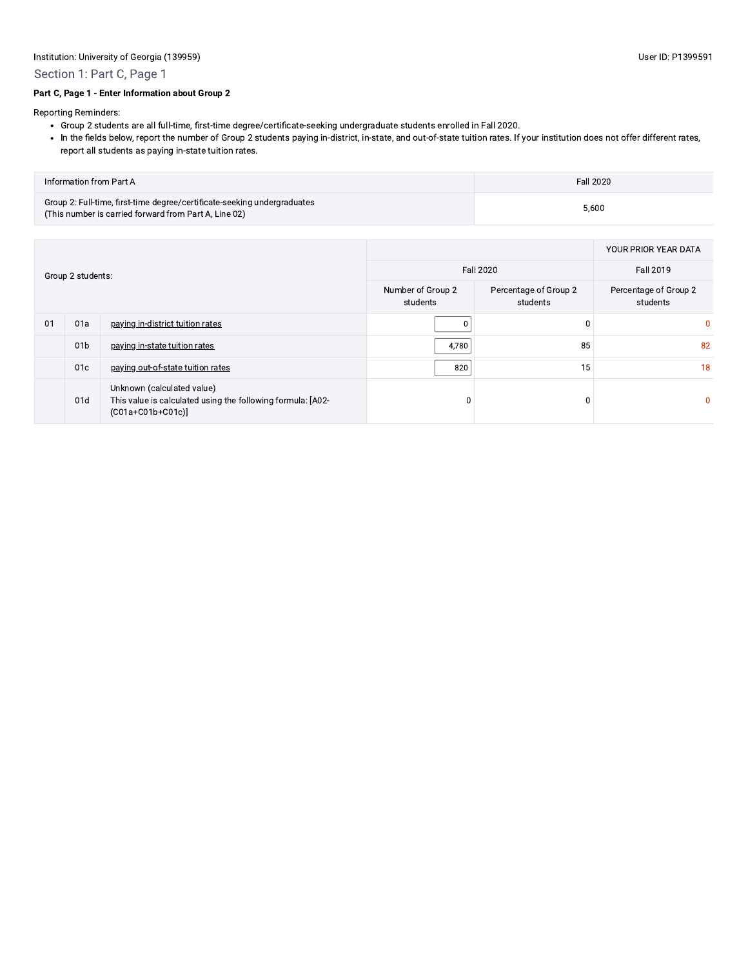# Section 1: Part C, Page 1

#### Part C, Page 1 - Enter Information about Group 2

Reporting Reminders:

- . Group 2 students are all full-time, first-time degree/certificate-seeking undergraduate students enrolled in Fall 2020.
- . In the fields below, report the number of Group 2 students paying in-district, in-state, and out-of-state tuition rates. If your institution does not offer different rates, report all students as paying in-state tuition rates.

| <b>Information from Part A</b>                                                                                                    | Fall 2020 |
|-----------------------------------------------------------------------------------------------------------------------------------|-----------|
| Group 2: Full-time, first-time degree/certificate-seeking undergraduates<br>(This number is carried forward from Part A, Line 02) | 5,600     |

| Group 2 students: |                 |                                                                                                                 |                                   | YOUR PRIOR YEAR DATA              |              |
|-------------------|-----------------|-----------------------------------------------------------------------------------------------------------------|-----------------------------------|-----------------------------------|--------------|
|                   |                 |                                                                                                                 | Fall 2020                         |                                   |              |
|                   |                 | Number of Group 2<br>students                                                                                   | Percentage of Group 2<br>students | Percentage of Group 2<br>students |              |
| 01                | 01a             | paying in-district tuition rates                                                                                |                                   | 0                                 | 0            |
|                   | 01 <sub>b</sub> | paying in-state tuition rates                                                                                   | 4,780                             | 85                                | 82           |
|                   | 01c             | paying out-of-state tuition rates                                                                               | 820                               | 15                                | 18           |
|                   | 01d             | Unknown (calculated value)<br>This value is calculated using the following formula: [A02-<br>$(C01a+C01b+C01c)$ | $\Omega$                          |                                   | $\mathbf{0}$ |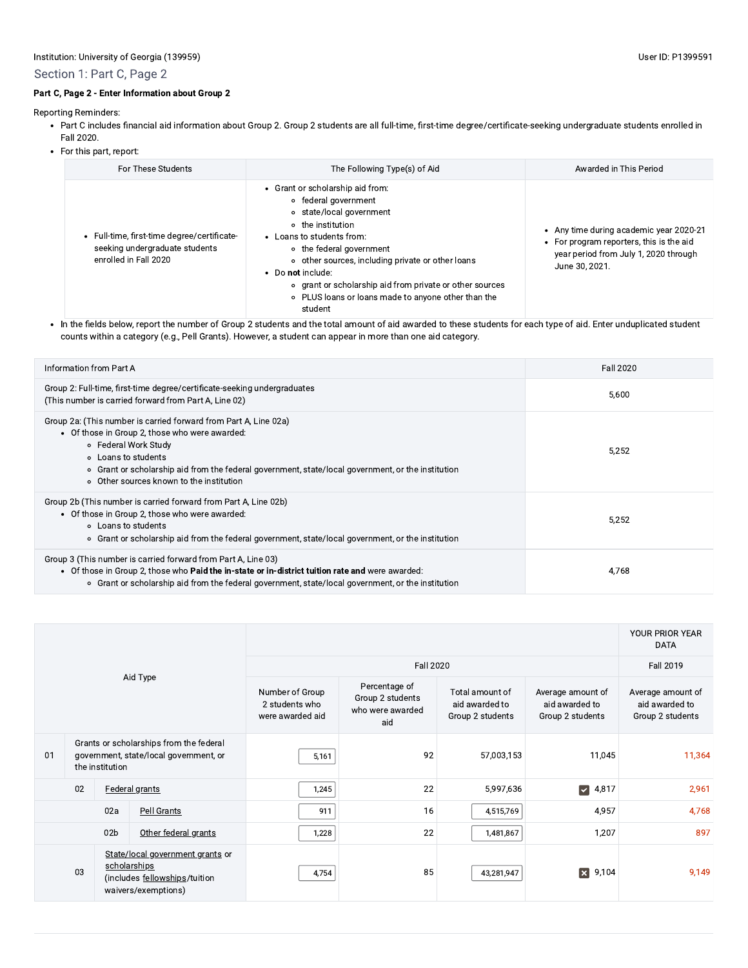# Section 1: Part C, Page 2

# Part C, Page 2 - Enter Information about Group 2

Reporting Reminders:

- Part C includes financial aid information about Group 2. Group 2 students are all full-time, first-time degree/certificate-seeking undergraduate students enrolled in Fall 2020.
- For this part, report:

| For These Students                                                                                   | The Following Type(s) of Aid                                                                                                                                                                                                                                                                                                                                                               | Awarded in This Period                                                                                                                         |
|------------------------------------------------------------------------------------------------------|--------------------------------------------------------------------------------------------------------------------------------------------------------------------------------------------------------------------------------------------------------------------------------------------------------------------------------------------------------------------------------------------|------------------------------------------------------------------------------------------------------------------------------------------------|
| Full-time, first-time degree/certificate-<br>seeking undergraduate students<br>enrolled in Fall 2020 | Grant or scholarship aid from:<br>∘ federal government<br>o state/local government<br>o the institution<br>Loans to students from:<br>• the federal government<br>other sources, including private or other loans<br>$\circ$<br>Do not include:<br>$\bullet$<br>o grant or scholarship aid from private or other sources<br>○ PLUS loans or loans made to anyone other than the<br>student | • Any time during academic year 2020-21<br>• For program reporters, this is the aid<br>year period from July 1, 2020 through<br>June 30, 2021. |

. In the fields below, report the number of Group 2 students and the total amount of aid awarded to these students for each type of aid. Enter unduplicated student counts within a category (e.g., Pell Grants). However, a student can appear in more than one aid category.

| Information from Part A                                                                                                                                                                                                                                                                                             | <b>Fall 2020</b> |
|---------------------------------------------------------------------------------------------------------------------------------------------------------------------------------------------------------------------------------------------------------------------------------------------------------------------|------------------|
| Group 2: Full-time, first-time degree/certificate-seeking undergraduates<br>(This number is carried forward from Part A, Line 02)                                                                                                                                                                                   | 5,600            |
| Group 2a: (This number is carried forward from Part A, Line 02a)<br>• Of those in Group 2, those who were awarded:<br>○ Federal Work Study<br>○ Loans to students<br>• Grant or scholarship aid from the federal government, state/local government, or the institution<br>o Other sources known to the institution | 5.252            |
| Group 2b (This number is carried forward from Part A, Line 02b)<br>• Of those in Group 2, those who were awarded:<br>○ Loans to students<br>o Grant or scholarship aid from the federal government, state/local government, or the institution                                                                      | 5,252            |
| Group 3 (This number is carried forward from Part A, Line 03)<br>• Of those in Group 2, those who <b>Paid the in-state or in-district tuition rate and</b> were awarded:<br>• Grant or scholarship aid from the federal government, state/local government, or the institution                                      | 4.768            |

|          |                                                                                                      |                                                       |                                                                                                          |                                                       |                                                         | YOUR PRIOR YEAR<br><b>DATA</b>                          |                               |           |
|----------|------------------------------------------------------------------------------------------------------|-------------------------------------------------------|----------------------------------------------------------------------------------------------------------|-------------------------------------------------------|---------------------------------------------------------|---------------------------------------------------------|-------------------------------|-----------|
|          |                                                                                                      |                                                       |                                                                                                          |                                                       | Fall 2020                                               |                                                         |                               | Fall 2019 |
| Aid Type |                                                                                                      | Number of Group<br>2 students who<br>were awarded aid | Percentage of<br>Group 2 students<br>who were awarded<br>aid                                             | Total amount of<br>aid awarded to<br>Group 2 students | Average amount of<br>aid awarded to<br>Group 2 students | Average amount of<br>aid awarded to<br>Group 2 students |                               |           |
| 01       | Grants or scholarships from the federal<br>government, state/local government, or<br>the institution |                                                       | 5,161                                                                                                    | 92                                                    | 57,003,153                                              | 11,045                                                  | 11,364                        |           |
|          | 02                                                                                                   |                                                       | <b>Federal grants</b>                                                                                    | 1,245                                                 | 22                                                      | 5,997,636                                               | $\blacktriangledown$<br>4,817 | 2,961     |
|          |                                                                                                      | 02a                                                   | Pell Grants                                                                                              | 911                                                   | 16                                                      | 4,515,769                                               | 4,957                         | 4,768     |
|          |                                                                                                      | 02 <sub>b</sub>                                       | Other federal grants                                                                                     | 1,228                                                 | 22                                                      | 1,481,867                                               | 1,207                         | 897       |
|          | 03                                                                                                   |                                                       | State/local government grants or<br>scholarships<br>(includes fellowships/tuition<br>waivers/exemptions) | 4,754                                                 | 85                                                      | 43,281,947                                              | 9,104<br>$\mathbf{x}$         | 9,149     |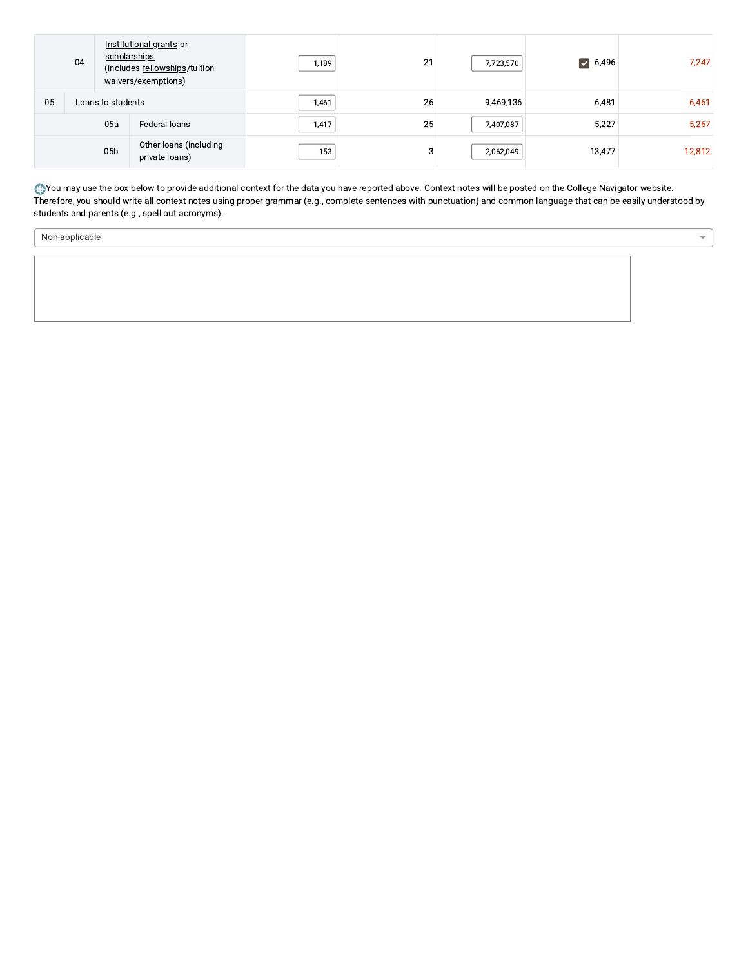|    | Institutional grants or<br>scholarships<br>04<br>(includes fellowships/tuition<br>waivers/exemptions) |                 | 1,189                                    | 21    | 7,723,570 | $\triangleright$ 6,496 | 7,247  |        |
|----|-------------------------------------------------------------------------------------------------------|-----------------|------------------------------------------|-------|-----------|------------------------|--------|--------|
| 05 | Loans to students                                                                                     |                 | 1,461                                    | 26    | 9,469,136 | 6,481                  | 6,461  |        |
|    |                                                                                                       | 05a             | Federal loans                            | 1,417 | 25        | 7,407,087              | 5,227  | 5,267  |
|    |                                                                                                       | 05 <sub>b</sub> | Other loans (including<br>private loans) | 153   | 3         | 2,062,049              | 13,477 | 12,812 |

. You may use the box below to provide additional context for the data you have reported above. Context notes will be posted on the College Navigator website.<br>Therefore, you should write all context notes using proper gram students and parents (e.g., spell out acronyms).

 $\overline{\phantom{a}}$ 

Non-applicable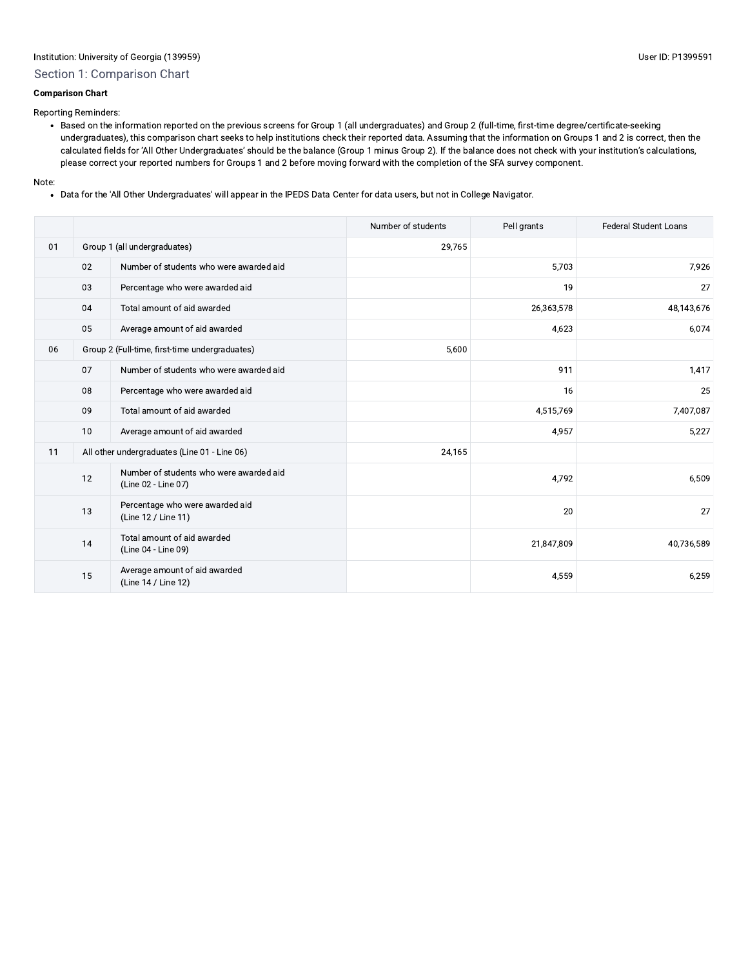# Section 1: Comparison Chart

#### **Comparison Chart**

Reporting Reminders:

• Based on the information reported on the previous screens for Group 1 (all undergraduates) and Group 2 (full-time, first-time degree/certificate-seeking undergraduates), this comparison chart seeks to help institutions check their reported data. Assuming that the information on Groups 1 and 2 is correct, then the calculated fields for 'All Other Undergraduates' should be the balance (Group 1 minus Group 2). If the balance does not check with your institution's calculations, please correct your reported numbers for Groups 1 and 2 before moving forward with the completion of the SFA survey component.

#### Note:

• Data for the 'All Other Undergraduates' will appear in the IPEDS Data Center for data users, but not in College Navigator.

|    |    |                                                                | Number of students | Pell grants | <b>Federal Student Loans</b> |
|----|----|----------------------------------------------------------------|--------------------|-------------|------------------------------|
| 01 |    | Group 1 (all undergraduates)                                   | 29,765             |             |                              |
|    | 02 | Number of students who were awarded aid                        |                    | 5,703       | 7,926                        |
|    | 03 | Percentage who were awarded aid                                |                    | 19          | 27                           |
|    | 04 | Total amount of aid awarded                                    |                    | 26,363,578  | 48,143,676                   |
|    | 05 | Average amount of aid awarded                                  |                    | 4,623       | 6,074                        |
| 06 |    | Group 2 (Full-time, first-time undergraduates)                 | 5,600              |             |                              |
|    | 07 | Number of students who were awarded aid                        |                    | 911         | 1,417                        |
|    | 08 | Percentage who were awarded aid                                |                    | 16          | 25                           |
|    | 09 | Total amount of aid awarded                                    |                    | 4,515,769   | 7,407,087                    |
|    | 10 | Average amount of aid awarded                                  |                    | 4,957       | 5,227                        |
| 11 |    | All other undergraduates (Line 01 - Line 06)                   | 24,165             |             |                              |
|    | 12 | Number of students who were awarded aid<br>(Line 02 - Line 07) |                    | 4,792       | 6,509                        |
|    | 13 | Percentage who were awarded aid<br>(Line 12 / Line 11)         |                    | 20          | 27                           |
|    | 14 | Total amount of aid awarded<br>(Line 04 - Line 09)             |                    | 21,847,809  | 40,736,589                   |
|    | 15 | Average amount of aid awarded<br>(Line 14 / Line 12)           |                    | 4,559       | 6,259                        |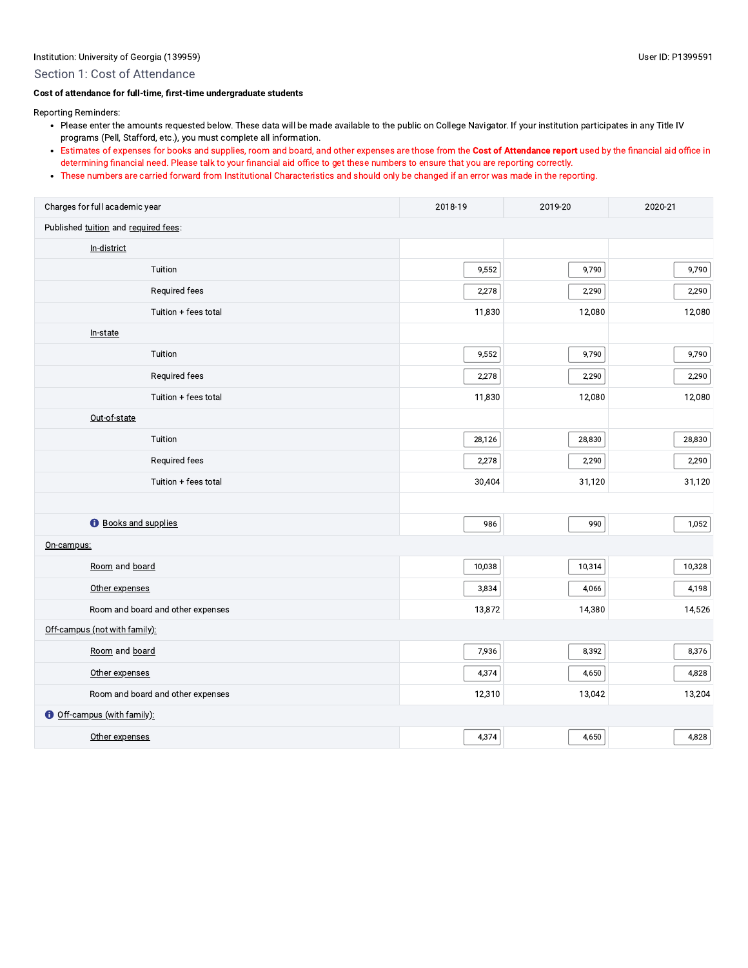#### Section 1: Cost of Attendance

#### Cost of attendance for full-time, first-time undergraduate students

Reporting Reminders:

- Please enter the amounts requested below. These data will be made available to the public on College Navigator. If your institution participates in any Title IV programs (Pell, Stafford, etc.), you must complete all information.
- Estimates of expenses for books and supplies, room and board, and other expenses are those from the Cost of Attendance report used by the financial aid office in determining financial need. Please talk to your financial aid office to get these numbers to ensure that you are reporting correctly.
- These numbers are carried forward from Institutional Characteristics and should only be changed if an error was made in the reporting.

| Charges for full academic year       | 2018-19 | 2019-20 | 2020-21 |
|--------------------------------------|---------|---------|---------|
| Published tuition and required fees: |         |         |         |
| In-district                          |         |         |         |
| Tuition                              | 9,552   | 9,790   | 9,790   |
| Required fees                        | 2,278   | 2,290   | 2,290   |
| Tuition + fees total                 | 11,830  | 12,080  | 12,080  |
| In-state                             |         |         |         |
| Tuition                              | 9,552   | 9,790   | 9,790   |
| Required fees                        | 2,278   | 2,290   | 2,290   |
| Tuition + fees total                 | 11,830  | 12,080  | 12,080  |
| Out-of-state                         |         |         |         |
| Tuition                              | 28,126  | 28,830  | 28,830  |
| Required fees                        | 2,278   | 2,290   | 2,290   |
| Tuition + fees total                 | 30,404  | 31,120  | 31,120  |
|                                      |         |         |         |
| <b>O</b> Books and supplies          | 986     | 990     | 1,052   |
| On-campus:                           |         |         |         |
| Room and board                       | 10,038  | 10,314  | 10,328  |
| Other expenses                       | 3,834   | 4,066   | 4,198   |
| Room and board and other expenses    | 13,872  | 14,380  | 14,526  |
| Off-campus (not with family):        |         |         |         |
| Room and board                       | 7,936   | 8,392   | 8,376   |
| Other expenses                       | 4,374   | 4,650   | 4,828   |
| Room and board and other expenses    | 12,310  | 13,042  | 13,204  |
| <b>O</b> Off-campus (with family):   |         |         |         |
| Other expenses                       | 4,374   | 4,650   | 4,828   |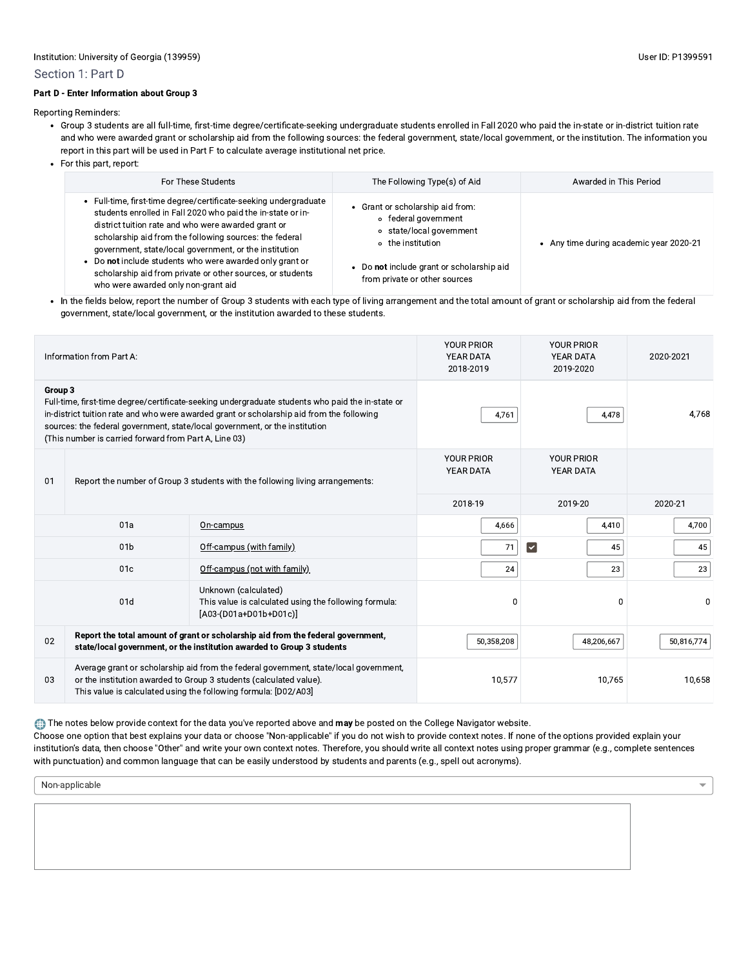#### Part D - Enter Information about Group 3

Reporting Reminders:

- · Group 3 students are all full-time, first-time degree/certificate-seeking undergraduate students enrolled in Fall 2020 who paid the in-state or in-district tuition rate and who were awarded grant or scholarship aid from the following sources: the federal government, state/local government, or the institution. The information you report in this part will be used in Part F to calculate average institutional net price.
- For this part, report:

| For These Students                                                                                                                                                                                                                                                                                                                                                                                                                                                       | The Following Type(s) of Aid                                                                                                                                                                 | Awarded in This Period                  |
|--------------------------------------------------------------------------------------------------------------------------------------------------------------------------------------------------------------------------------------------------------------------------------------------------------------------------------------------------------------------------------------------------------------------------------------------------------------------------|----------------------------------------------------------------------------------------------------------------------------------------------------------------------------------------------|-----------------------------------------|
| Full-time, first-time degree/certificate-seeking undergraduate<br>students enrolled in Fall 2020 who paid the in-state or in-<br>district tuition rate and who were awarded grant or<br>scholarship aid from the following sources: the federal<br>government, state/local government, or the institution<br>Do not include students who were awarded only grant or<br>scholarship aid from private or other sources, or students<br>who were awarded only non-grant aid | Grant or scholarship aid from:<br>• federal government<br>state/local government<br>$\circ$<br>o the institution<br>Do not include grant or scholarship aid<br>from private or other sources | • Any time during academic year 2020-21 |

. In the fields below, report the number of Group 3 students with each type of living arrangement and the total amount of grant or scholarship aid from the federal government, state/local government, or the institution awarded to these students.

|                                                                                                                                                                                                                                      | Information from Part A:                                                                                                                                   | <b>YOUR PRIOR</b><br><b>YEAR DATA</b><br>2018-2019                                                                                                                                                                                                                           | <b>YOUR PRIOR</b><br><b>YEAR DATA</b><br>2019-2020 | 2020-2021                             |        |
|--------------------------------------------------------------------------------------------------------------------------------------------------------------------------------------------------------------------------------------|------------------------------------------------------------------------------------------------------------------------------------------------------------|------------------------------------------------------------------------------------------------------------------------------------------------------------------------------------------------------------------------------------------------------------------------------|----------------------------------------------------|---------------------------------------|--------|
| Group 3                                                                                                                                                                                                                              | (This number is carried forward from Part A, Line 03)                                                                                                      | Full-time, first-time degree/certificate-seeking undergraduate students who paid the in-state or<br>in-district tuition rate and who were awarded grant or scholarship aid from the following<br>sources: the federal government, state/local government, or the institution | 4,761                                              | 4,478                                 | 4,768  |
| 01<br>Report the number of Group 3 students with the following living arrangements:                                                                                                                                                  |                                                                                                                                                            |                                                                                                                                                                                                                                                                              | <b>YOUR PRIOR</b><br>YEAR DATA                     | <b>YOUR PRIOR</b><br><b>YEAR DATA</b> |        |
|                                                                                                                                                                                                                                      |                                                                                                                                                            | 2018-19                                                                                                                                                                                                                                                                      | 2019-20                                            | 2020-21                               |        |
|                                                                                                                                                                                                                                      | 01a                                                                                                                                                        | On-campus                                                                                                                                                                                                                                                                    | 4,666                                              | 4,410                                 | 4,700  |
|                                                                                                                                                                                                                                      | 01 <sub>b</sub>                                                                                                                                            | Off-campus (with family)                                                                                                                                                                                                                                                     | 71                                                 | $\vert\downarrow\vert$<br>45          | 45     |
|                                                                                                                                                                                                                                      | 01 <sub>c</sub>                                                                                                                                            | Off-campus (not with family)                                                                                                                                                                                                                                                 | 24                                                 | 23                                    | 23     |
| Unknown (calculated)<br>01d<br>$[AO3-(DO1a+DO1b+DO1c)]$                                                                                                                                                                              |                                                                                                                                                            | This value is calculated using the following formula:                                                                                                                                                                                                                        | 0                                                  | 0                                     | 0      |
| 02                                                                                                                                                                                                                                   | Report the total amount of grant or scholarship aid from the federal government,<br>state/local government, or the institution awarded to Group 3 students | 50,358,208                                                                                                                                                                                                                                                                   | 48,206,667                                         | 50,816,774                            |        |
| Average grant or scholarship aid from the federal government, state/local government,<br>or the institution awarded to Group 3 students (calculated value).<br>03<br>This value is calculated using the following formula: [D02/A03] |                                                                                                                                                            |                                                                                                                                                                                                                                                                              | 10,577                                             | 10,765                                | 10,658 |

The notes below provide context for the data you've reported above and may be posted on the College Navigator website.

Choose one option that best explains your data or choose "Non-applicable" if you do not wish to provide context notes. If none of the options provided explain your institution's data, then choose "Other" and write your own context notes. Therefore, you should write all context notes using proper grammar (e.g., complete sentences with punctuation) and common language that can be easily understood by students and parents (e.g., spell out acronyms).

Non-applicable

 $\overline{\phantom{0}}$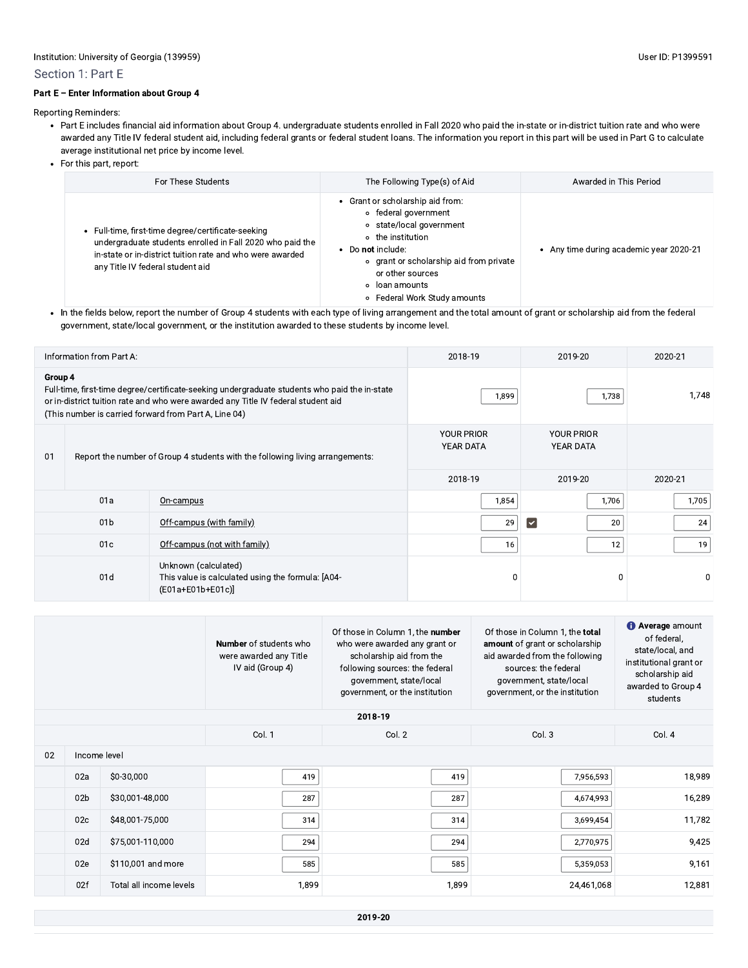#### Section 1: Part E

#### Part E - Enter Information about Group 4

Reporting Reminders:

- Part E includes financial aid information about Group 4. undergraduate students enrolled in Fall 2020 who paid the in-state or in-district tuition rate and who were awarded any Title IV federal student aid, including federal grants or federal student loans. The information you report in this part will be used in Part G to calculate average institutional net price by income level.
- For this part, report:

| For These Students                                                                                                                                                                                             | The Following Type(s) of Aid                                                                                                                                                                                                                  | Awarded in This Period                  |
|----------------------------------------------------------------------------------------------------------------------------------------------------------------------------------------------------------------|-----------------------------------------------------------------------------------------------------------------------------------------------------------------------------------------------------------------------------------------------|-----------------------------------------|
| Full-time, first-time degree/certificate-seeking<br>undergraduate students enrolled in Fall 2020 who paid the<br>in-state or in-district tuition rate and who were awarded<br>any Title IV federal student aid | • Grant or scholarship aid from:<br>• federal government<br>o state/local government<br>o the institution<br>Do not include:<br>o grant or scholarship aid from private<br>or other sources<br>• loan amounts<br>○ Federal Work Study amounts | • Any time during academic year 2020-21 |

• In the fields below, report the number of Group 4 students with each type of living arrangement and the total amount of grant or scholarship aid from the federal government, state/local government, or the institution awarded to these students by income level.

| Information from Part A:                                                                                                                                                                                                                               |                                             |           | 2018-19                        | 2019-20                               | 2020-21 |
|--------------------------------------------------------------------------------------------------------------------------------------------------------------------------------------------------------------------------------------------------------|---------------------------------------------|-----------|--------------------------------|---------------------------------------|---------|
| Group 4<br>Full-time, first-time degree/certificate-seeking undergraduate students who paid the in-state<br>or in-district tuition rate and who were awarded any Title IV federal student aid<br>(This number is carried forward from Part A, Line 04) |                                             |           | 1,899                          | 1,738                                 | 1,748   |
| Report the number of Group 4 students with the following living arrangements:<br>01                                                                                                                                                                    |                                             |           | <b>YOUR PRIOR</b><br>YEAR DATA | <b>YOUR PRIOR</b><br><b>YEAR DATA</b> |         |
|                                                                                                                                                                                                                                                        |                                             |           | 2018-19                        | 2019-20                               | 2020-21 |
|                                                                                                                                                                                                                                                        | 01a                                         | On-campus | 1,854                          | 1,706                                 | 1,705   |
|                                                                                                                                                                                                                                                        | 01 <sub>b</sub><br>Off-campus (with family) |           | 29                             | $\vert\downarrow$<br>20               | 24      |
| 01c<br>Off-campus (not with family)                                                                                                                                                                                                                    |                                             | 16        | 12                             | 19                                    |         |
| Unknown (calculated)<br>01d<br>This value is calculated using the formula: [A04-<br>$($ E01a+E01b+E01c $)$ ]                                                                                                                                           |                                             | 0         | 0                              | 0                                     |         |

|    |                 |                         | <b>Number</b> of students who<br>were awarded any Title<br>IV aid (Group 4) | Of those in Column 1, the number<br>who were awarded any grant or<br>scholarship aid from the<br>following sources: the federal<br>government, state/local<br>government, or the institution | Of those in Column 1, the total<br>amount of grant or scholarship<br>aid awarded from the following<br>sources: the federal<br>government, state/local<br>government, or the institution | <b>O</b> Average amount<br>of federal,<br>state/local, and<br>institutional grant or<br>scholarship aid<br>awarded to Group 4<br>students |
|----|-----------------|-------------------------|-----------------------------------------------------------------------------|----------------------------------------------------------------------------------------------------------------------------------------------------------------------------------------------|------------------------------------------------------------------------------------------------------------------------------------------------------------------------------------------|-------------------------------------------------------------------------------------------------------------------------------------------|
|    |                 |                         |                                                                             | 2018-19                                                                                                                                                                                      |                                                                                                                                                                                          |                                                                                                                                           |
|    |                 |                         | Col. 1                                                                      | Col. 2                                                                                                                                                                                       | Col. 3                                                                                                                                                                                   | Col. 4                                                                                                                                    |
| 02 | Income level    |                         |                                                                             |                                                                                                                                                                                              |                                                                                                                                                                                          |                                                                                                                                           |
|    | 02a             | \$0-30,000              | 419                                                                         | 419                                                                                                                                                                                          | 7,956,593                                                                                                                                                                                | 18,989                                                                                                                                    |
|    | 02 <sub>b</sub> | \$30,001-48,000         | 287                                                                         | 287                                                                                                                                                                                          | 4,674,993                                                                                                                                                                                | 16,289                                                                                                                                    |
|    | 02 <sub>c</sub> | \$48,001-75,000         | 314                                                                         | 314                                                                                                                                                                                          | 3,699,454                                                                                                                                                                                | 11,782                                                                                                                                    |
|    | 02d             | \$75,001-110,000        | 294                                                                         | 294                                                                                                                                                                                          | 2,770,975                                                                                                                                                                                | 9,425                                                                                                                                     |
|    | 02e             | \$110,001 and more      | 585                                                                         | 585                                                                                                                                                                                          | 5,359,053                                                                                                                                                                                | 9,161                                                                                                                                     |
|    | 02f             | Total all income levels | 1,899                                                                       | 1,899                                                                                                                                                                                        | 24,461,068                                                                                                                                                                               | 12,881                                                                                                                                    |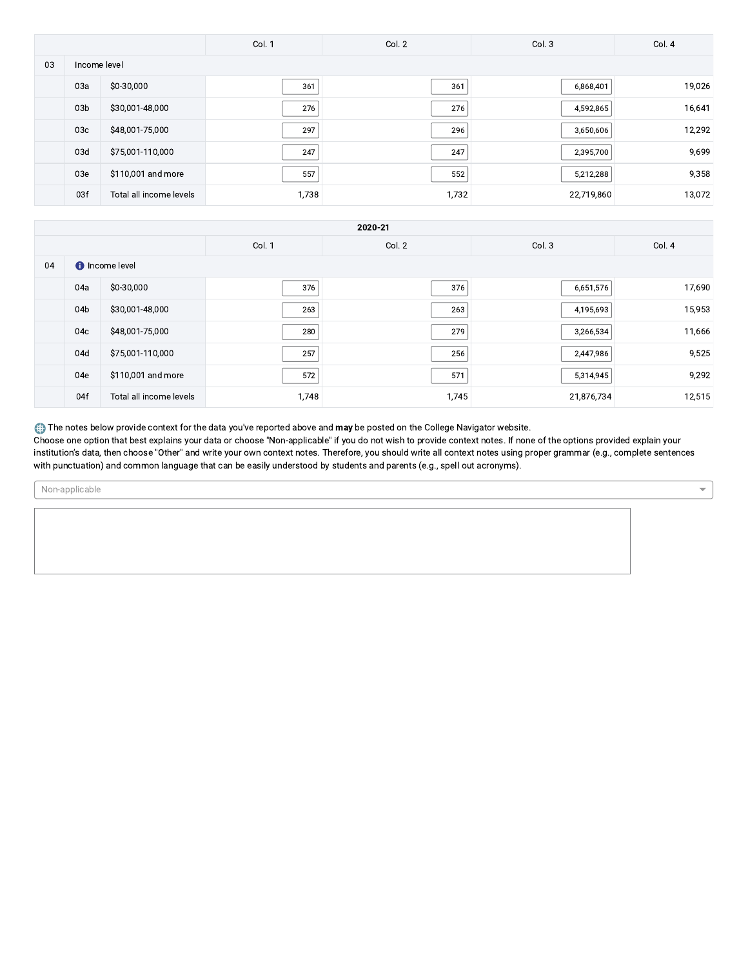|    |                 |                         | Col. 1 | Col. 2 | Col. 3     | Col. 4 |
|----|-----------------|-------------------------|--------|--------|------------|--------|
| 03 | Income level    |                         |        |        |            |        |
|    | 03a             | \$0-30,000              | 361    | 361    | 6,868,401  | 19,026 |
|    | 03 <sub>b</sub> | \$30,001-48,000         | 276    | 276    | 4,592,865  | 16,641 |
|    | 03c             | \$48,001-75,000         | 297    | 296    | 3,650,606  | 12,292 |
|    | 03d             | \$75,001-110,000        | 247    | 247    | 2,395,700  | 9,699  |
|    | 03e             | \$110,001 and more      | 557    | 552    | 5,212,288  | 9,358  |
|    | 03f             | Total all income levels | 1,738  | 1,732  | 22,719,860 | 13,072 |

|    | 2020-21 |                         |        |        |            |        |
|----|---------|-------------------------|--------|--------|------------|--------|
|    |         |                         | Col. 1 | Col. 2 | Col. 3     | Col. 4 |
| 04 |         | <b>O</b> Income level   |        |        |            |        |
|    | 04a     | \$0-30,000              | 376    | 376    | 6,651,576  | 17,690 |
|    | 04b     | \$30,001-48,000         | 263    | 263    | 4,195,693  | 15,953 |
|    | 04c     | \$48,001-75,000         | 280    | 279    | 3,266,534  | 11,666 |
|    | 04d     | \$75,001-110,000        | 257    | 256    | 2,447,986  | 9,525  |
|    | 04e     | \$110,001 and more      | 572    | 571    | 5,314,945  | 9,292  |
|    | 04f     | Total all income levels | 1,748  | 1,745  | 21,876,734 | 12,515 |

The notes below provide context for the data you've reported above and may be posted on the College Navigator website.

Choose one option that best explains your data or choose "Non-applicable" if you do not wish to provide context notes. If none of the options provided explain your institution's data, then choose "Other" and write your own context notes. Therefore, you should write all context notes using proper grammar (e.g., complete sentences with punctuation) and common language that can be easily understood by students and parents (e.g., spell out acronyms).

Non-applicable

 $\overline{\phantom{a}}$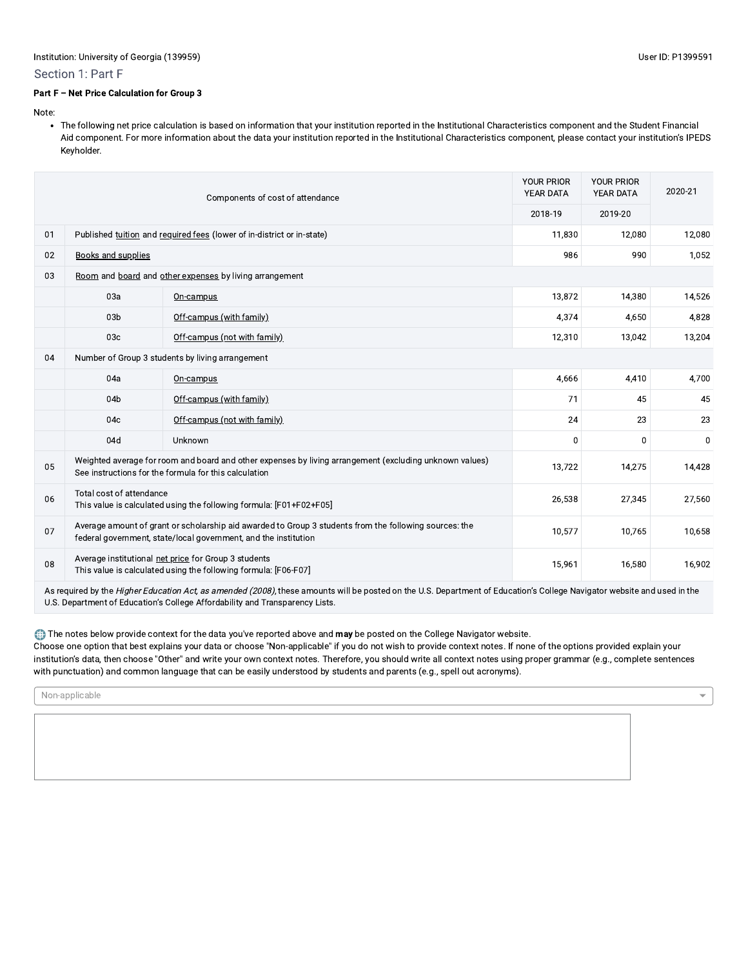#### Section 1: Part F

### Part F - Net Price Calculation for Group 3

Note:

• The following net price calculation is based on information that your institution reported in the Institutional Characteristics component and the Student Financial Aid component. For more information about the data your institution reported in the Institutional Characteristics component, please contact your institution's IPEDS Keyholder.

|    | Components of cost of attendance                                                                                                                                          |                                                                                                                                                                          | <b>YOUR PRIOR</b><br>YEAR DATA | <b>YOUR PRIOR</b><br><b>YEAR DATA</b> | 2020-21  |
|----|---------------------------------------------------------------------------------------------------------------------------------------------------------------------------|--------------------------------------------------------------------------------------------------------------------------------------------------------------------------|--------------------------------|---------------------------------------|----------|
|    |                                                                                                                                                                           |                                                                                                                                                                          | 2018-19                        | 2019-20                               |          |
| 01 |                                                                                                                                                                           | Published tuition and required fees (lower of in-district or in-state)                                                                                                   | 11,830                         | 12,080                                | 12,080   |
| 02 | <b>Books and supplies</b>                                                                                                                                                 |                                                                                                                                                                          | 986                            | 990                                   | 1,052    |
| 03 |                                                                                                                                                                           | Room and board and other expenses by living arrangement                                                                                                                  |                                |                                       |          |
|    | 03a                                                                                                                                                                       | On-campus                                                                                                                                                                | 13,872                         | 14,380                                | 14,526   |
|    | 03 <sub>b</sub>                                                                                                                                                           | Off-campus (with family)                                                                                                                                                 | 4,374                          | 4,650                                 | 4,828    |
|    | 03 <sub>c</sub>                                                                                                                                                           | Off-campus (not with family)                                                                                                                                             | 12,310                         | 13,042                                | 13,204   |
| 04 |                                                                                                                                                                           | Number of Group 3 students by living arrangement                                                                                                                         |                                |                                       |          |
|    | 04a                                                                                                                                                                       | On-campus                                                                                                                                                                | 4,666                          | 4,410                                 | 4,700    |
|    | 04b                                                                                                                                                                       | Off-campus (with family)                                                                                                                                                 | 71                             | 45                                    | 45       |
|    | 04c                                                                                                                                                                       | Off-campus (not with family)                                                                                                                                             | 24                             | 23                                    | 23       |
|    | 04d                                                                                                                                                                       | Unknown                                                                                                                                                                  | $\Omega$                       | $\Omega$                              | $\bf{0}$ |
| 05 |                                                                                                                                                                           | Weighted average for room and board and other expenses by living arrangement (excluding unknown values)<br>See instructions for the formula for this calculation         | 13,722                         | 14,275                                | 14,428   |
| 06 | Total cost of attendance<br>This value is calculated using the following formula: [F01+F02+F05]                                                                           |                                                                                                                                                                          | 26,538                         | 27,345                                | 27,560   |
| 07 | Average amount of grant or scholarship aid awarded to Group 3 students from the following sources: the<br>federal government, state/local government, and the institution |                                                                                                                                                                          |                                | 10,765                                | 10,658   |
| 08 | Average institutional net price for Group 3 students<br>15,961<br>16,580<br>This value is calculated using the following formula: [F06-F07]                               |                                                                                                                                                                          |                                |                                       |          |
|    |                                                                                                                                                                           | As required by the Higher Education Act, as amended (2008), these amounts will be posted on the U.S. Department of Education's College Navigator website and used in the |                                |                                       |          |

U.S. Department of Education's College Affordability and Transparency Lists.

The notes below provide context for the data you've reported above and may be posted on the College Navigator website. Choose one option that best explains your data or choose "Non-applicable" if you do not wish to provide context notes. If none of the options provided explain your institution's data, then choose "Other" and write your own context notes. Therefore, you should write all context notes using proper grammar (e.g., complete sentences with punctuation) and common language that can be easily understood by students and parents (e.g., spell out acronyms).

Non-applicable

 $\overline{\phantom{a}}$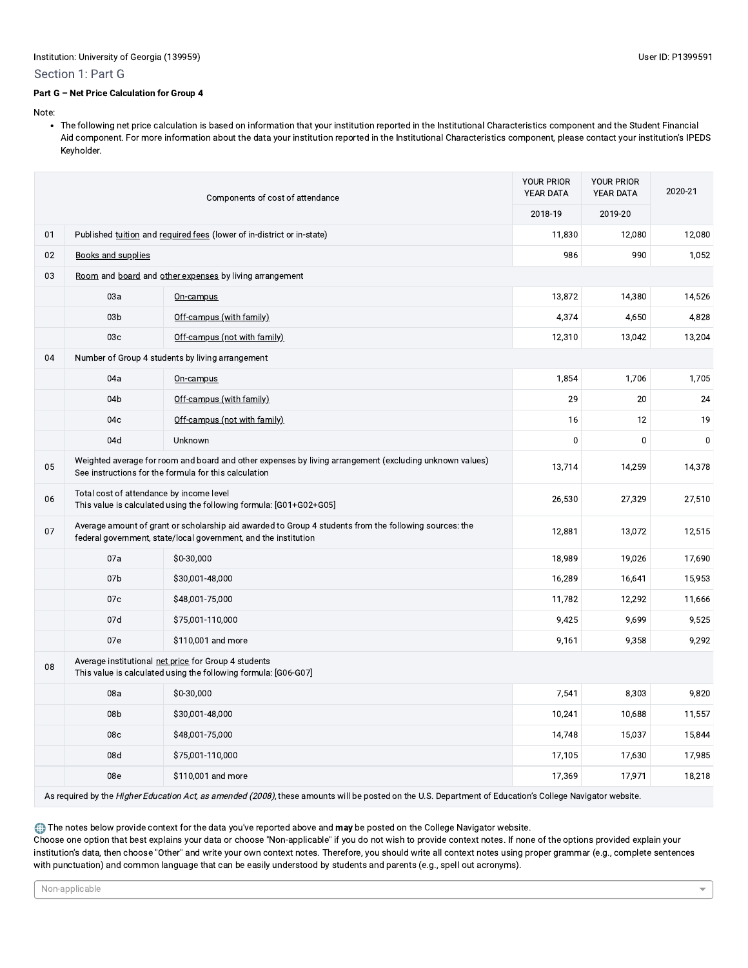#### Section 1: Part G

#### Part G - Net Price Calculation for Group 4

Note:

• The following net price calculation is based on information that your institution reported in the Institutional Characteristics component and the Student Financial Aid component. For more information about the data your institution reported in the Institutional Characteristics component, please contact your institution's IPEDS Keyholder.

| Components of cost of attendance                                                                                                                                                |                                                                                                                                                                  | YOUR PRIOR<br>YEAR DATA                                                | <b>YOUR PRIOR</b><br>YEAR DATA | 2020-21     |           |
|---------------------------------------------------------------------------------------------------------------------------------------------------------------------------------|------------------------------------------------------------------------------------------------------------------------------------------------------------------|------------------------------------------------------------------------|--------------------------------|-------------|-----------|
|                                                                                                                                                                                 |                                                                                                                                                                  |                                                                        | 2018-19                        | 2019-20     |           |
| 01                                                                                                                                                                              |                                                                                                                                                                  | Published tuition and required fees (lower of in-district or in-state) | 11,830                         | 12,080      | 12,080    |
| 02                                                                                                                                                                              | <b>Books and supplies</b>                                                                                                                                        |                                                                        | 986                            | 990         | 1,052     |
| 03                                                                                                                                                                              |                                                                                                                                                                  | Room and board and other expenses by living arrangement                |                                |             |           |
|                                                                                                                                                                                 | 03a                                                                                                                                                              | On-campus                                                              | 13,872                         | 14,380      | 14,526    |
|                                                                                                                                                                                 | 03 <sub>b</sub>                                                                                                                                                  | Off-campus (with family)                                               | 4,374                          | 4,650       | 4,828     |
|                                                                                                                                                                                 | 03 <sub>c</sub>                                                                                                                                                  | Off-campus (not with family)                                           | 12,310                         | 13,042      | 13,204    |
| 04                                                                                                                                                                              |                                                                                                                                                                  | Number of Group 4 students by living arrangement                       |                                |             |           |
|                                                                                                                                                                                 | 04a                                                                                                                                                              | On-campus                                                              | 1,854                          | 1,706       | 1,705     |
|                                                                                                                                                                                 | 04 <sub>b</sub>                                                                                                                                                  | Off-campus (with family)                                               | 29                             | 20          | 24        |
|                                                                                                                                                                                 | 04c                                                                                                                                                              | Off-campus (not with family)                                           | 16                             | 12          | 19        |
|                                                                                                                                                                                 | 04d                                                                                                                                                              | Unknown                                                                | 0                              | $\mathbf 0$ | $\pmb{0}$ |
| 05                                                                                                                                                                              | Weighted average for room and board and other expenses by living arrangement (excluding unknown values)<br>See instructions for the formula for this calculation |                                                                        |                                | 14,259      | 14,378    |
| 06                                                                                                                                                                              | Total cost of attendance by income level<br>This value is calculated using the following formula: [G01+G02+G05]                                                  |                                                                        |                                | 27,329      | 27,510    |
| Average amount of grant or scholarship aid awarded to Group 4 students from the following sources: the<br>07<br>federal government, state/local government, and the institution |                                                                                                                                                                  | 12,881                                                                 | 13,072                         | 12,515      |           |
|                                                                                                                                                                                 | 07a                                                                                                                                                              | \$0-30,000                                                             | 18,989                         | 19,026      | 17,690    |
|                                                                                                                                                                                 | 07 <sub>b</sub>                                                                                                                                                  | \$30,001-48,000                                                        | 16,289                         | 16,641      | 15,953    |
|                                                                                                                                                                                 | 07c                                                                                                                                                              | \$48,001-75,000                                                        | 11,782                         | 12,292      | 11,666    |
|                                                                                                                                                                                 | 07d                                                                                                                                                              | \$75,001-110,000                                                       | 9,425                          | 9,699       | 9,525     |
|                                                                                                                                                                                 | 07e<br>\$110,001 and more                                                                                                                                        |                                                                        | 9,161                          | 9,358       | 9,292     |
| 08                                                                                                                                                                              | Average institutional net price for Group 4 students<br>This value is calculated using the following formula: [G06-G07]                                          |                                                                        |                                |             |           |
|                                                                                                                                                                                 | 08a                                                                                                                                                              | \$0-30,000                                                             | 7,541                          | 8,303       | 9,820     |
|                                                                                                                                                                                 | 08 <sub>b</sub>                                                                                                                                                  | \$30,001-48,000                                                        | 10,241                         | 10,688      | 11,557    |
|                                                                                                                                                                                 | 08c                                                                                                                                                              | \$48,001-75,000                                                        | 14,748                         | 15,037      | 15,844    |
|                                                                                                                                                                                 | 08d                                                                                                                                                              | \$75,001-110,000                                                       | 17,105                         | 17,630      | 17,985    |
|                                                                                                                                                                                 | 08e                                                                                                                                                              | \$110,001 and more                                                     | 17,369                         | 17,971      | 18,218    |

As required by the Higher Education Act, as amended (2008), these amounts will be posted on the U.S. Department of Education's College Navigator website.

The notes below provide context for the data you've reported above and may be posted on the College Navigator website.

Choose one option that best explains your data or choose "Non-applicable" if you do not wish to provide context notes. If none of the options provided explain your institution's data, then choose "Other" and write your own context notes. Therefore, you should write all context notes using proper grammar (e.g., complete sentences with punctuation) and common language that can be easily understood by students and parents (e.g., spell out acronyms).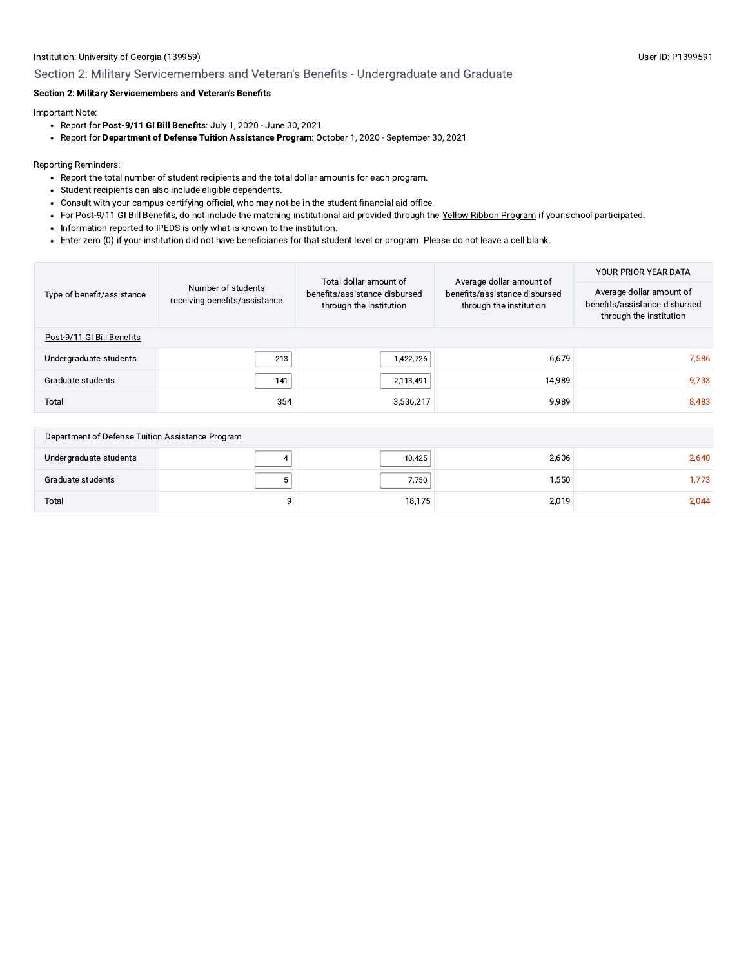# Institution: University of Georgia (139959) Section 2: Military Servicemembers and Veteran's Benefits - Undergraduate and Graduate

# Section 2: Military Servicemembers and Veteran's Benefits

Important Note:

Total

- Report for Post-9/11 GI Bill Benefits: July 1, 2020 June 30, 2021.
- · Report for Department of Defense Tuition Assistance Program: October 1, 2020 September 30, 2021

Reporting Reminders:

- Report the total number of student recipients and the total dollar amounts for each program.
- · Student recipients can also include eligible dependents.
- Consult with your campus certifying official, who may not be in the student financial aid office.
- For Post-9/11 GI Bill Benefits, do not include the matching institutional aid provided through the Yellow Ribbon Program if your school participated.
- Information reported to IPEDS is only what is known to the institution.
- Enter zero (0) if your institution did not have beneficiaries for that student level or program. Please do not leave a cell blank.

9

|                                                  |                                                                                                                                            | Total dollar amount of | Average dollar amount of      | YOUR PRIOR YEAR DATA                                                                 |  |
|--------------------------------------------------|--------------------------------------------------------------------------------------------------------------------------------------------|------------------------|-------------------------------|--------------------------------------------------------------------------------------|--|
| Type of benefit/assistance                       | Number of students<br>benefits/assistance disbursed<br>receiving benefits/assistance<br>through the institution<br>through the institution |                        | benefits/assistance disbursed | Average dollar amount of<br>benefits/assistance disbursed<br>through the institution |  |
| Post-9/11 GI Bill Benefits                       |                                                                                                                                            |                        |                               |                                                                                      |  |
| Undergraduate students                           | 213                                                                                                                                        | 1,422,726              | 6.679                         | 7.586                                                                                |  |
| Graduate students                                | 141                                                                                                                                        | 2,113,491              | 14,989                        | 9,733                                                                                |  |
| Total                                            | 354                                                                                                                                        | 3,536,217              | 9,989                         | 8,483                                                                                |  |
|                                                  |                                                                                                                                            |                        |                               |                                                                                      |  |
| Department of Defense Tuition Assistance Program |                                                                                                                                            |                        |                               |                                                                                      |  |
| Undergraduate students                           |                                                                                                                                            | 10,425                 | 2,606                         | 2,640                                                                                |  |
| Graduate students                                | 5                                                                                                                                          | 7,750                  | 1,550                         | 1,773                                                                                |  |

18,175

2,019

2,044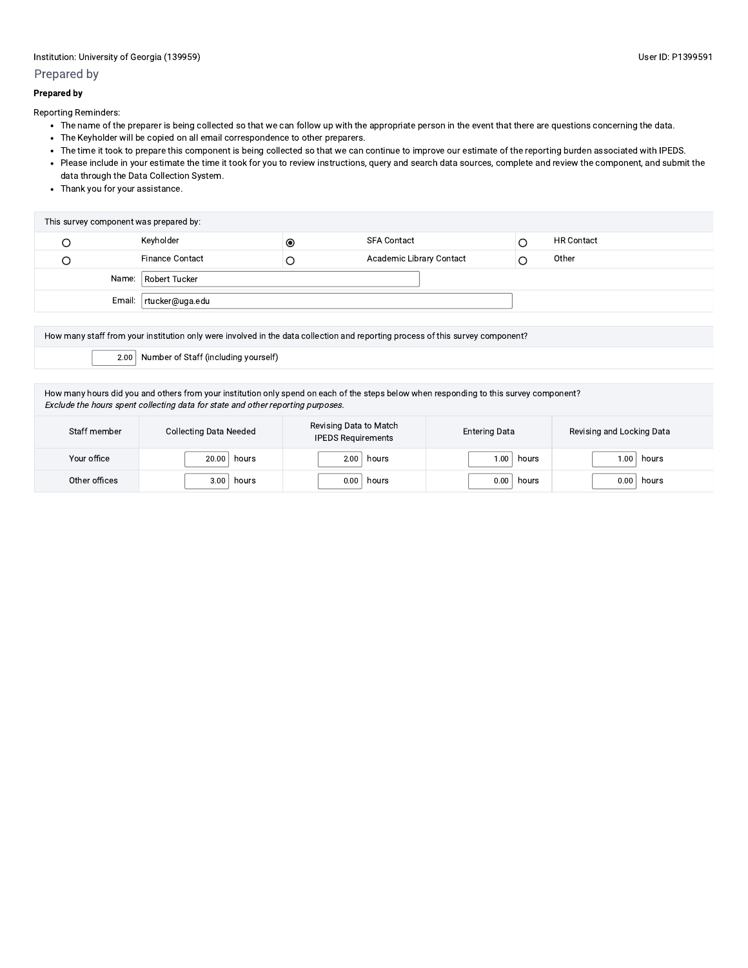# Prepared by

#### **Prepared by**

Reporting Reminders:

- The name of the preparer is being collected so that we can follow up with the appropriate person in the event that there are questions concerning the data.
- The Keyholder will be copied on all email correspondence to other preparers.
- . The time it took to prepare this component is being collected so that we can continue to improve our estimate of the reporting burden associated with IPEDS.
- Please include in your estimate the time it took for you to review instructions, query and search data sources, complete and review the component, and submit the data through the Data Collection System.
- Thank you for your assistance.

| This survey component was prepared by: |                          |           |                          |  |                   |
|----------------------------------------|--------------------------|-----------|--------------------------|--|-------------------|
|                                        | Keyholder                | $\bullet$ | <b>SFA Contact</b>       |  | <b>HR Contact</b> |
|                                        | <b>Finance Contact</b>   |           | Academic Library Contact |  | Other             |
|                                        | Name:   Robert Tucker    |           |                          |  |                   |
|                                        | Email:   rtucker@uga.edu |           |                          |  |                   |

| How many staff from your institution only were involved in the data collection and reporting process of this survey component? |
|--------------------------------------------------------------------------------------------------------------------------------|
| $\vert$ 2.00 Number of Staff (including yourself)                                                                              |
|                                                                                                                                |

How many hours did you and others from your institution only spend on each of the steps below when responding to this survey component? Exclude the hours spent collecting data for state and other reporting purposes.

| Staff member  | <b>Collecting Data Needed</b> | Revising Data to Match<br><b>IPEDS Requirements</b> | <b>Entering Data</b> | Revising and Locking Data |  |
|---------------|-------------------------------|-----------------------------------------------------|----------------------|---------------------------|--|
| Your office   | 20.00                         | hours                                               | hours                | hours                     |  |
|               | hours                         | 2.00                                                | 0.00                 | 1.00                      |  |
| Other offices | 3.00                          | 0.00                                                | 0.00                 | 0.00                      |  |
|               | hours                         | hours                                               | hours                | hours                     |  |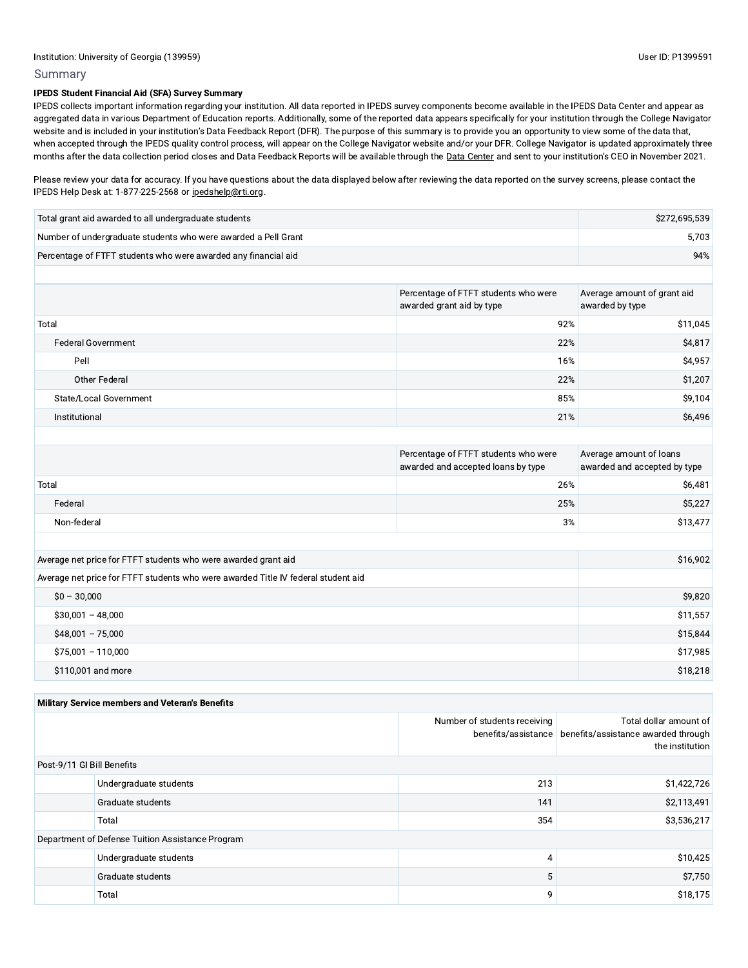### Summary

Institution: University of Georgia (139959)<br>
Summary<br>
IPEDS Student Financial Aid (SFA) Survey Summary<br>
IPEDS collects important information regarding your in<br>
aggregated data in various Department of Education<br>
website an iPEDS collects important information regarding your institution. All data reported in IPEDS components become available in the IPEDS Data Center and appear as  $\,$ aggregated data in various Department of Education reports. Additionally, some of the reported data appears specifically for your institution through the College Navigator  $\,$ website and is included in your institutions Data Feedback Report (DFN). The purpose of this summary is to provide you an opportunity to view some of the data that, when accepted through the IPEDS quality control process, will appear on the College Navigor DPH. College Navigator is updated approximately three  $\,$ months after the data collection period closes and Data Feedback Reports will be available through the <u>Data Center</u> and sent to your institution's CEO in November 2021.

Please review your data for accuracy. If you have questions about the data reported on the survey screens, please contact the "example for the distinct the contact the contact the contact the contact the contact the contac IPEDS Help Desk at: 1-877-225-2568 or ipedshelp@rti.org.

| Total grant aid awarded to all undergraduate students          | \$272,695,539 |
|----------------------------------------------------------------|---------------|
| Number of undergraduate students who were awarded a Pell Grant | 5.703         |
| Percentage of FTFT students who were awarded any financial aid | 94%           |

|                           | Percentage of FTFT students who were<br>awarded grant aid by type | Average amount of grant aid<br>awarded by type |  |
|---------------------------|-------------------------------------------------------------------|------------------------------------------------|--|
| Total                     | 92%                                                               | \$11,045                                       |  |
| <b>Federal Government</b> | 22%                                                               | \$4,817                                        |  |
| Pell                      | 16%                                                               | \$4,957                                        |  |
| Other Federal             | 22%                                                               | \$1,207                                        |  |
| State/Local Government    | 85%                                                               | \$9,104                                        |  |
| Institutional             | 21%                                                               | \$6,496                                        |  |

|             | Percentage of FTFT students who were<br>awarded and accepted loans by type | Average amount of loans<br>awarded and accepted by type |
|-------------|----------------------------------------------------------------------------|---------------------------------------------------------|
| Total       | 26%                                                                        | \$6,481                                                 |
| Federal     | 25%                                                                        | \$5,227                                                 |
| Non-federal | 3%                                                                         | \$13,477                                                |

| Average net price for FTFT students who were awarded grant aid                    | \$16,902 |
|-----------------------------------------------------------------------------------|----------|
| Average net price for FTFT students who were awarded Title IV federal student aid |          |
| $$0 - 30,000$                                                                     | \$9,820  |
| $$30,001 - 48,000$                                                                | \$11,557 |
| $$48,001 - 75,000$                                                                | \$15,844 |
| $$75,001 - 110,000$                                                               | \$17,985 |
| \$110,001 and more                                                                | \$18,218 |

| Military Service members and Veteran's Benefits  |                        |                              |                                                                                                      |
|--------------------------------------------------|------------------------|------------------------------|------------------------------------------------------------------------------------------------------|
|                                                  |                        | Number of students receiving | Total dollar amount of<br>benefits/assistance benefits/assistance awarded through<br>the institution |
| Post-9/11 GI Bill Benefits                       |                        |                              |                                                                                                      |
|                                                  | Undergraduate students | 213                          | \$1,422,726                                                                                          |
|                                                  | Graduate students      | 141                          | \$2,113,491                                                                                          |
|                                                  | Total                  | 354                          | \$3,536,217                                                                                          |
| Department of Defense Tuition Assistance Program |                        |                              |                                                                                                      |
|                                                  | Undergraduate students | 4                            | \$10,425                                                                                             |
|                                                  | Graduate students      | 5                            | \$7,750                                                                                              |
|                                                  | Total                  | 9                            | \$18,175                                                                                             |